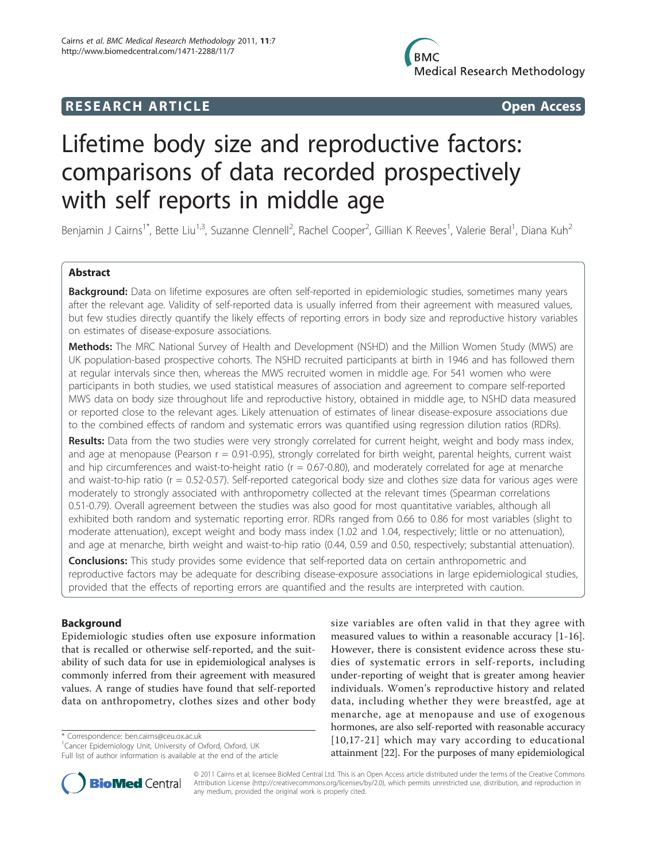# **RESEARCH ARTICLE Example 2008 CONSIDERING ACCESS**

**Medical Research Methodology** 

# Lifetime body size and reproductive factors: comparisons of data recorded prospectively with self reports in middle age

Benjamin J Cairns<sup>1\*</sup>, Bette Liu<sup>1,3</sup>, Suzanne Clennell<sup>2</sup>, Rachel Cooper<sup>2</sup>, Gillian K Reeves<sup>1</sup>, Valerie Beral<sup>1</sup>, Diana Kuh<sup>2</sup>

# Abstract

Background: Data on lifetime exposures are often self-reported in epidemiologic studies, sometimes many years after the relevant age. Validity of self-reported data is usually inferred from their agreement with measured values, but few studies directly quantify the likely effects of reporting errors in body size and reproductive history variables on estimates of disease-exposure associations.

Methods: The MRC National Survey of Health and Development (NSHD) and the Million Women Study (MWS) are UK population-based prospective cohorts. The NSHD recruited participants at birth in 1946 and has followed them at regular intervals since then, whereas the MWS recruited women in middle age. For 541 women who were participants in both studies, we used statistical measures of association and agreement to compare self-reported MWS data on body size throughout life and reproductive history, obtained in middle age, to NSHD data measured or reported close to the relevant ages. Likely attenuation of estimates of linear disease-exposure associations due to the combined effects of random and systematic errors was quantified using regression dilution ratios (RDRs).

Results: Data from the two studies were very strongly correlated for current height, weight and body mass index, and age at menopause (Pearson  $r = 0.91$ -0.95), strongly correlated for birth weight, parental heights, current waist and hip circumferences and waist-to-height ratio ( $r = 0.67$ -0.80), and moderately correlated for age at menarche and waist-to-hip ratio (r = 0.52-0.57). Self-reported categorical body size and clothes size data for various ages were moderately to strongly associated with anthropometry collected at the relevant times (Spearman correlations 0.51-0.79). Overall agreement between the studies was also good for most quantitative variables, although all exhibited both random and systematic reporting error. RDRs ranged from 0.66 to 0.86 for most variables (slight to moderate attenuation), except weight and body mass index (1.02 and 1.04, respectively; little or no attenuation), and age at menarche, birth weight and waist-to-hip ratio (0.44, 0.59 and 0.50, respectively; substantial attenuation).

**Conclusions:** This study provides some evidence that self-reported data on certain anthropometric and reproductive factors may be adequate for describing disease-exposure associations in large epidemiological studies, provided that the effects of reporting errors are quantified and the results are interpreted with caution.

# Background

Epidemiologic studies often use exposure information that is recalled or otherwise self-reported, and the suitability of such data for use in epidemiological analyses is commonly inferred from their agreement with measured values. A range of studies have found that self-reported data on anthropometry, clothes sizes and other body

\* Correspondence: [ben.cairns@ceu.ox.ac.uk](mailto:ben.cairns@ceu.ox.ac.uk)

<sup>&</sup>lt;sup>1</sup> Cancer Epidemiology Unit, University of Oxford, Oxford, UK Full list of author information is available at the end of the article





© 2011 Cairns et al; licensee BioMed Central Ltd. This is an Open Access article distributed under the terms of the Creative Commons Attribution License [\(http://creativecommons.org/licenses/by/2.0](http://creativecommons.org/licenses/by/2.0)), which permits unrestricted use, distribution, and reproduction in any medium, provided the original work is properly cited.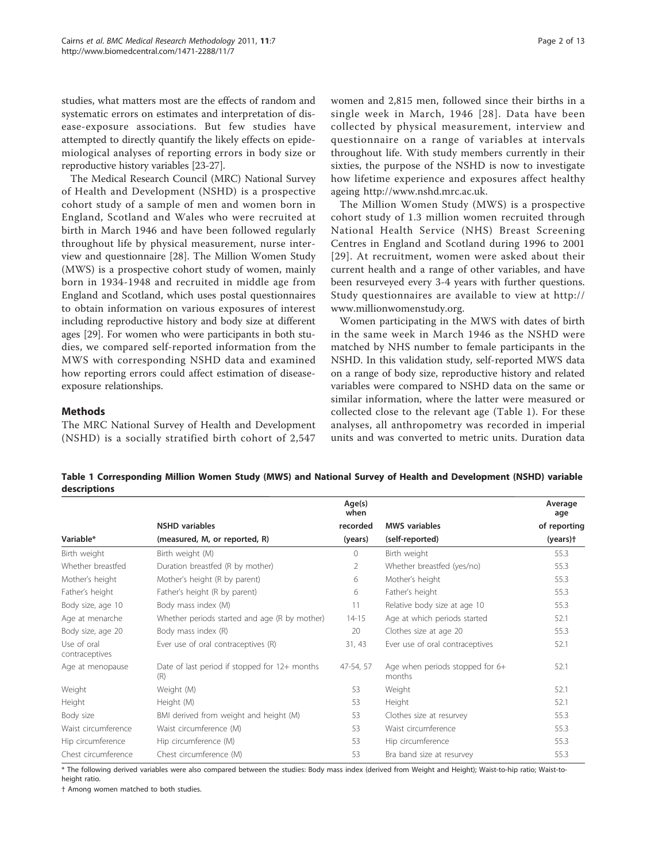studies, what matters most are the effects of random and systematic errors on estimates and interpretation of disease-exposure associations. But few studies have attempted to directly quantify the likely effects on epidemiological analyses of reporting errors in body size or reproductive history variables [[23](#page-12-0)-[27](#page-12-0)].

The Medical Research Council (MRC) National Survey of Health and Development (NSHD) is a prospective cohort study of a sample of men and women born in England, Scotland and Wales who were recruited at birth in March 1946 and have been followed regularly throughout life by physical measurement, nurse interview and questionnaire [\[28](#page-12-0)]. The Million Women Study (MWS) is a prospective cohort study of women, mainly born in 1934-1948 and recruited in middle age from England and Scotland, which uses postal questionnaires to obtain information on various exposures of interest including reproductive history and body size at different ages [\[29\]](#page-12-0). For women who were participants in both studies, we compared self-reported information from the MWS with corresponding NSHD data and examined how reporting errors could affect estimation of diseaseexposure relationships.

# **Methods**

The MRC National Survey of Health and Development (NSHD) is a socially stratified birth cohort of 2,547

women and 2,815 men, followed since their births in a single week in March, 1946 [[28](#page-12-0)]. Data have been collected by physical measurement, interview and questionnaire on a range of variables at intervals throughout life. With study members currently in their sixties, the purpose of the NSHD is now to investigate how lifetime experience and exposures affect healthy ageing [http://www.nshd.mrc.ac.uk.](http://www.nshd.mrc.ac.uk)

The Million Women Study (MWS) is a prospective cohort study of 1.3 million women recruited through National Health Service (NHS) Breast Screening Centres in England and Scotland during 1996 to 2001 [[29\]](#page-12-0). At recruitment, women were asked about their current health and a range of other variables, and have been resurveyed every 3-4 years with further questions. Study questionnaires are available to view at [http://](http://www.millionwomenstudy.org) [www.millionwomenstudy.org.](http://www.millionwomenstudy.org)

Women participating in the MWS with dates of birth in the same week in March 1946 as the NSHD were matched by NHS number to female participants in the NSHD. In this validation study, self-reported MWS data on a range of body size, reproductive history and related variables were compared to NSHD data on the same or similar information, where the latter were measured or collected close to the relevant age (Table 1). For these analyses, all anthropometry was recorded in imperial units and was converted to metric units. Duration data

| $A \sim \sim (n)$                                                                                             | $\Lambda$ |
|---------------------------------------------------------------------------------------------------------------|-----------|
| descriptions                                                                                                  |           |
| Table 1 Corresponding Million Women Study (MWS) and National Survey of Health and Development (NSHD) variable |           |

|                               |                                                      | Age(s)<br>when |                                           | Average<br>age       |
|-------------------------------|------------------------------------------------------|----------------|-------------------------------------------|----------------------|
|                               | <b>NSHD</b> variables                                | recorded       | <b>MWS</b> variables                      | of reporting         |
| Variable*                     | (measured, M, or reported, R)                        | (years)        | (self-reported)                           | (years) <sup>+</sup> |
| Birth weight                  | Birth weight (M)                                     | 0              | Birth weight                              | 55.3                 |
| Whether breastfed             | Duration breastfed (R by mother)                     | 2              | Whether breastfed (yes/no)                | 55.3                 |
| Mother's height               | Mother's height (R by parent)                        | 6              | Mother's height                           | 55.3                 |
| Father's height               | Father's height (R by parent)                        | 6              | Father's height                           | 55.3                 |
| Body size, age 10             | Body mass index (M)                                  | 11             | Relative body size at age 10              | 55.3                 |
| Age at menarche               | Whether periods started and age (R by mother)        | $14 - 15$      | Age at which periods started              | 52.1                 |
| Body size, age 20             | Body mass index (R)                                  | 20             | Clothes size at age 20                    | 55.3                 |
| Use of oral<br>contraceptives | Ever use of oral contraceptives (R)                  | 31, 43         | Ever use of oral contraceptives           | 52.1                 |
| Age at menopause              | Date of last period if stopped for 12+ months<br>(R) | 47-54, 57      | Age when periods stopped for 6+<br>months | 52.1                 |
| Weight                        | Weight (M)                                           | 53             | Weight                                    | 52.1                 |
| Height                        | Height (M)                                           | 53             | Height                                    | 52.1                 |
| Body size                     | BMI derived from weight and height (M)               | 53             | Clothes size at resurvey                  | 55.3                 |
| Waist circumference           | Waist circumference (M)                              | 53             | Waist circumference                       | 55.3                 |
| Hip circumference             | Hip circumference (M)                                | 53             | Hip circumference                         | 55.3                 |
| Chest circumference           | Chest circumference (M)                              | 53             | Bra band size at resurvey                 | 55.3                 |

\* The following derived variables were also compared between the studies: Body mass index (derived from Weight and Height); Waist-to-hip ratio; Waist-toheight ratio.

† Among women matched to both studies.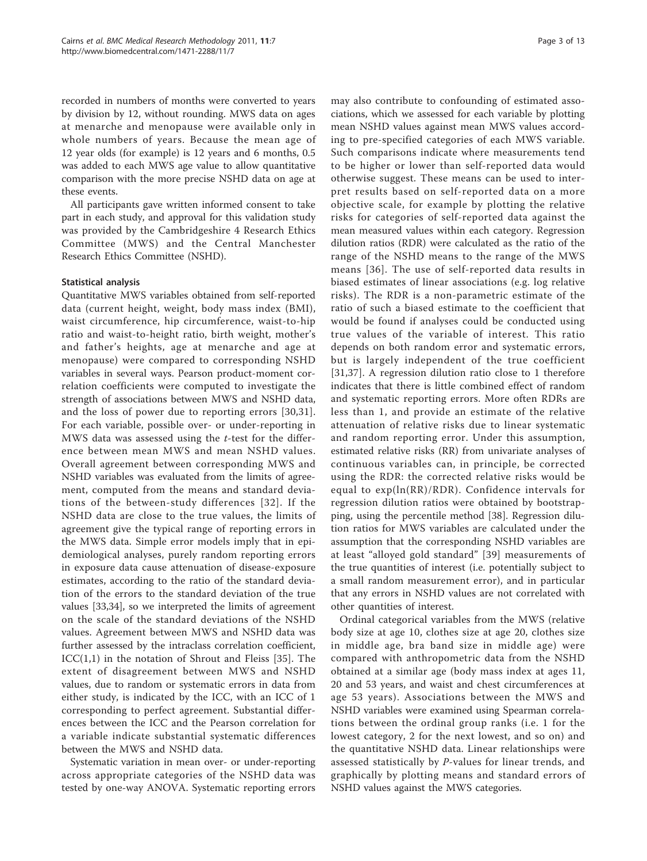recorded in numbers of months were converted to years by division by 12, without rounding. MWS data on ages at menarche and menopause were available only in whole numbers of years. Because the mean age of 12 year olds (for example) is 12 years and 6 months, 0.5 was added to each MWS age value to allow quantitative comparison with the more precise NSHD data on age at these events.

All participants gave written informed consent to take part in each study, and approval for this validation study was provided by the Cambridgeshire 4 Research Ethics Committee (MWS) and the Central Manchester Research Ethics Committee (NSHD).

# Statistical analysis

Quantitative MWS variables obtained from self-reported data (current height, weight, body mass index (BMI), waist circumference, hip circumference, waist-to-hip ratio and waist-to-height ratio, birth weight, mother's and father's heights, age at menarche and age at menopause) were compared to corresponding NSHD variables in several ways. Pearson product-moment correlation coefficients were computed to investigate the strength of associations between MWS and NSHD data, and the loss of power due to reporting errors [\[30](#page-12-0),[31](#page-12-0)]. For each variable, possible over- or under-reporting in MWS data was assessed using the t-test for the difference between mean MWS and mean NSHD values. Overall agreement between corresponding MWS and NSHD variables was evaluated from the limits of agreement, computed from the means and standard deviations of the between-study differences [[32](#page-12-0)]. If the NSHD data are close to the true values, the limits of agreement give the typical range of reporting errors in the MWS data. Simple error models imply that in epidemiological analyses, purely random reporting errors in exposure data cause attenuation of disease-exposure estimates, according to the ratio of the standard deviation of the errors to the standard deviation of the true values [\[33,34\]](#page-12-0), so we interpreted the limits of agreement on the scale of the standard deviations of the NSHD values. Agreement between MWS and NSHD data was further assessed by the intraclass correlation coefficient,  $ICC(1,1)$  in the notation of Shrout and Fleiss [[35](#page-12-0)]. The extent of disagreement between MWS and NSHD values, due to random or systematic errors in data from either study, is indicated by the ICC, with an ICC of 1 corresponding to perfect agreement. Substantial differences between the ICC and the Pearson correlation for a variable indicate substantial systematic differences between the MWS and NSHD data.

Systematic variation in mean over- or under-reporting across appropriate categories of the NSHD data was tested by one-way ANOVA. Systematic reporting errors may also contribute to confounding of estimated associations, which we assessed for each variable by plotting mean NSHD values against mean MWS values according to pre-specified categories of each MWS variable. Such comparisons indicate where measurements tend to be higher or lower than self-reported data would otherwise suggest. These means can be used to interpret results based on self-reported data on a more objective scale, for example by plotting the relative risks for categories of self-reported data against the mean measured values within each category. Regression dilution ratios (RDR) were calculated as the ratio of the range of the NSHD means to the range of the MWS means [[36\]](#page-12-0). The use of self-reported data results in biased estimates of linear associations (e.g. log relative risks). The RDR is a non-parametric estimate of the ratio of such a biased estimate to the coefficient that would be found if analyses could be conducted using true values of the variable of interest. This ratio depends on both random error and systematic errors, but is largely independent of the true coefficient [[31,37](#page-12-0)]. A regression dilution ratio close to 1 therefore indicates that there is little combined effect of random and systematic reporting errors. More often RDRs are less than 1, and provide an estimate of the relative attenuation of relative risks due to linear systematic and random reporting error. Under this assumption, estimated relative risks (RR) from univariate analyses of continuous variables can, in principle, be corrected using the RDR: the corrected relative risks would be equal to exp(ln(RR)/RDR). Confidence intervals for regression dilution ratios were obtained by bootstrapping, using the percentile method [[38\]](#page-12-0). Regression dilution ratios for MWS variables are calculated under the assumption that the corresponding NSHD variables are at least "alloyed gold standard" [[39\]](#page-12-0) measurements of the true quantities of interest (i.e. potentially subject to a small random measurement error), and in particular that any errors in NSHD values are not correlated with other quantities of interest.

Ordinal categorical variables from the MWS (relative body size at age 10, clothes size at age 20, clothes size in middle age, bra band size in middle age) were compared with anthropometric data from the NSHD obtained at a similar age (body mass index at ages 11, 20 and 53 years, and waist and chest circumferences at age 53 years). Associations between the MWS and NSHD variables were examined using Spearman correlations between the ordinal group ranks (i.e. 1 for the lowest category, 2 for the next lowest, and so on) and the quantitative NSHD data. Linear relationships were assessed statistically by P-values for linear trends, and graphically by plotting means and standard errors of NSHD values against the MWS categories.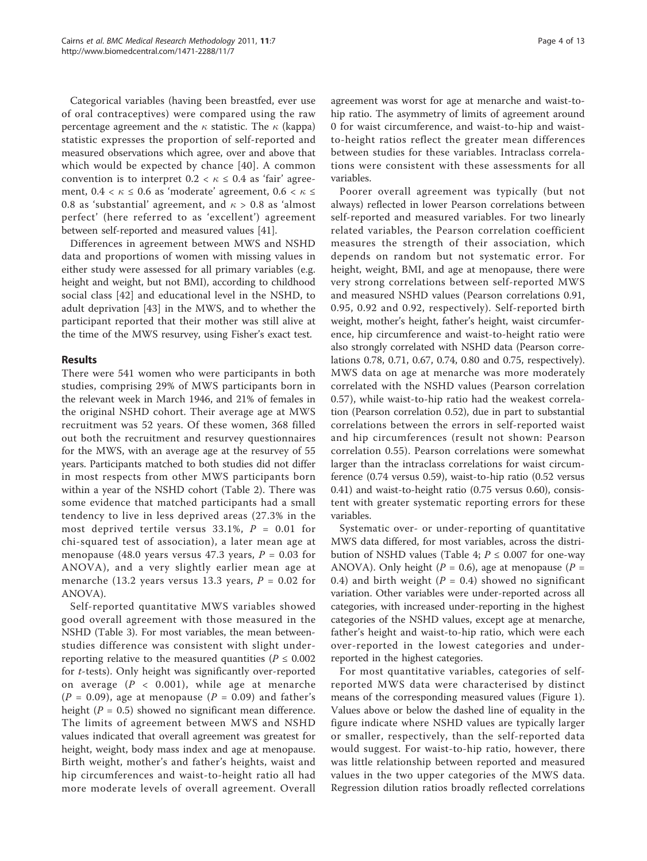Categorical variables (having been breastfed, ever use of oral contraceptives) were compared using the raw percentage agreement and the  $\kappa$  statistic. The  $\kappa$  (kappa) statistic expresses the proportion of self-reported and measured observations which agree, over and above that which would be expected by chance [[40\]](#page-12-0). A common convention is to interpret  $0.2 < \kappa \le 0.4$  as 'fair' agreement,  $0.4 < \kappa \leq 0.6$  as 'moderate' agreement,  $0.6 < \kappa \leq$ 0.8 as 'substantial' agreement, and  $\kappa > 0.8$  as 'almost perfect' (here referred to as 'excellent') agreement between self-reported and measured values [\[41](#page-12-0)].

Differences in agreement between MWS and NSHD data and proportions of women with missing values in either study were assessed for all primary variables (e.g. height and weight, but not BMI), according to childhood social class [[42](#page-12-0)] and educational level in the NSHD, to adult deprivation [[43](#page-12-0)] in the MWS, and to whether the participant reported that their mother was still alive at the time of the MWS resurvey, using Fisher's exact test.

# Results

There were 541 women who were participants in both studies, comprising 29% of MWS participants born in the relevant week in March 1946, and 21% of females in the original NSHD cohort. Their average age at MWS recruitment was 52 years. Of these women, 368 filled out both the recruitment and resurvey questionnaires for the MWS, with an average age at the resurvey of 55 years. Participants matched to both studies did not differ in most respects from other MWS participants born within a year of the NSHD cohort (Table [2\)](#page-4-0). There was some evidence that matched participants had a small tendency to live in less deprived areas (27.3% in the most deprived tertile versus  $33.1\%$ ,  $P = 0.01$  for chi-squared test of association), a later mean age at menopause (48.0 years versus 47.3 years,  $P = 0.03$  for ANOVA), and a very slightly earlier mean age at menarche (13.2 years versus 13.3 years,  $P = 0.02$  for ANOVA).

Self-reported quantitative MWS variables showed good overall agreement with those measured in the NSHD (Table [3](#page-5-0)). For most variables, the mean betweenstudies difference was consistent with slight underreporting relative to the measured quantities ( $P \le 0.002$ ) for t-tests). Only height was significantly over-reported on average  $(P < 0.001)$ , while age at menarche  $(P = 0.09)$ , age at menopause  $(P = 0.09)$  and father's height ( $P = 0.5$ ) showed no significant mean difference. The limits of agreement between MWS and NSHD values indicated that overall agreement was greatest for height, weight, body mass index and age at menopause. Birth weight, mother's and father's heights, waist and hip circumferences and waist-to-height ratio all had more moderate levels of overall agreement. Overall agreement was worst for age at menarche and waist-tohip ratio. The asymmetry of limits of agreement around 0 for waist circumference, and waist-to-hip and waistto-height ratios reflect the greater mean differences between studies for these variables. Intraclass correlations were consistent with these assessments for all variables.

Poorer overall agreement was typically (but not always) reflected in lower Pearson correlations between self-reported and measured variables. For two linearly related variables, the Pearson correlation coefficient measures the strength of their association, which depends on random but not systematic error. For height, weight, BMI, and age at menopause, there were very strong correlations between self-reported MWS and measured NSHD values (Pearson correlations 0.91, 0.95, 0.92 and 0.92, respectively). Self-reported birth weight, mother's height, father's height, waist circumference, hip circumference and waist-to-height ratio were also strongly correlated with NSHD data (Pearson correlations 0.78, 0.71, 0.67, 0.74, 0.80 and 0.75, respectively). MWS data on age at menarche was more moderately correlated with the NSHD values (Pearson correlation 0.57), while waist-to-hip ratio had the weakest correlation (Pearson correlation 0.52), due in part to substantial correlations between the errors in self-reported waist and hip circumferences (result not shown: Pearson correlation 0.55). Pearson correlations were somewhat larger than the intraclass correlations for waist circumference (0.74 versus 0.59), waist-to-hip ratio (0.52 versus 0.41) and waist-to-height ratio (0.75 versus 0.60), consistent with greater systematic reporting errors for these variables.

Systematic over- or under-reporting of quantitative MWS data differed, for most variables, across the distri-bution of NSHD values (Table [4](#page-5-0);  $P \leq 0.007$  for one-way ANOVA). Only height ( $P = 0.6$ ), age at menopause ( $P =$ 0.4) and birth weight ( $P = 0.4$ ) showed no significant variation. Other variables were under-reported across all categories, with increased under-reporting in the highest categories of the NSHD values, except age at menarche, father's height and waist-to-hip ratio, which were each over-reported in the lowest categories and underreported in the highest categories.

For most quantitative variables, categories of selfreported MWS data were characterised by distinct means of the corresponding measured values (Figure [1](#page-6-0)). Values above or below the dashed line of equality in the figure indicate where NSHD values are typically larger or smaller, respectively, than the self-reported data would suggest. For waist-to-hip ratio, however, there was little relationship between reported and measured values in the two upper categories of the MWS data. Regression dilution ratios broadly reflected correlations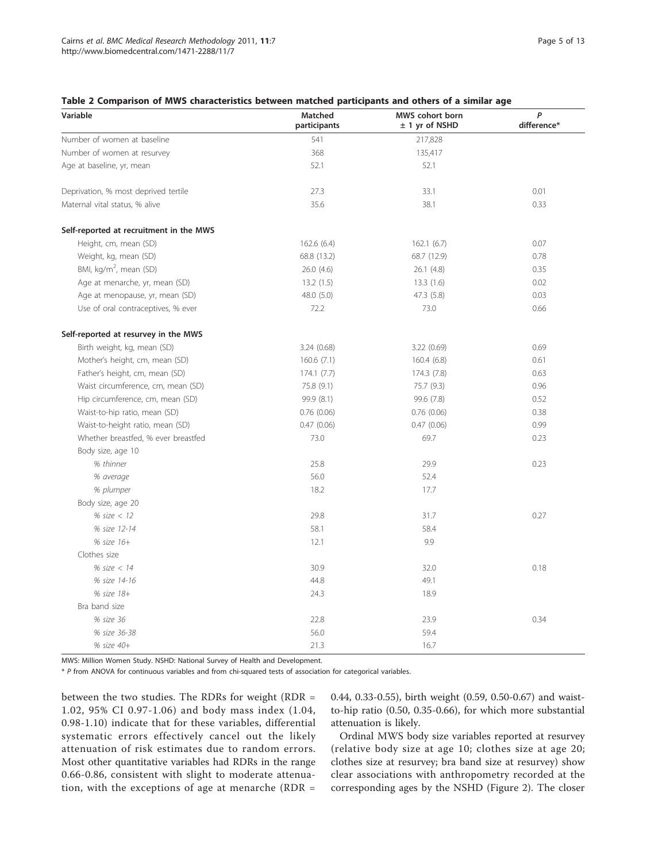# Variable **Matched** Matched Matched participants MWS cohort born ± 1 yr of NSHD P difference\* Number of women at baseline 541 541 217,828 Number of women at resurvey and the state of the state of the state of the state of the state of the state of the state of the state of the state of the state of the state of the state of the state of the state of the stat Age at baseline, yr, mean 52.1 52.1 52.1 Deprivation, % most deprived tertile  $27.3$  27.3 33.1 33.1 0.01 Maternal vital status, % alive 35.6 38.1 0.33 Self-reported at recruitment in the MWS Height, cm, mean (SD) 162.6 (6.4) 162.6 (6.4) 162.1 (6.7) 162.1 (6.7) 0.07 Weight, kg, mean (SD) 68.8 (13.2) 68.8 (13.2) 68.8 (13.2) 68.7 (12.9) 6.78 BMI, kg/m<sup>2</sup>, mean (SD) , mean (SD) 26.0 (4.6) 26.1 (4.8) 0.35 Age at menarche, yr, mean (SD) 13.2 (1.5) 13.2 (1.5) 13.3 (1.6) 13.3 (1.6) 0.02 Age at menopause, yr, mean (SD)  $48.0$  (5.0)  $47.3$  (5.8)  $47.3$  (5.8) 0.03 Use of oral contraceptives, % ever 0.66  $\frac{72.2}{2}$  73.0  $\frac{73.0}{2}$  73.0 0.66 Self-reported at resurvey in the MWS Birth weight, kg, mean (SD) 6.69 (3.24 (0.68) 3.24 (0.68) 3.22 (0.69) 3.22 (0.69) 0.69 Mother's height, cm, mean (SD) 160.6 (7.1) 160.6 (7.1) 160.4 (6.8) 0.61 Father's height, cm, mean (SD) 174.1 (7.7) 174.3 (7.8) 0.63 Waist circumference, cm, mean (SD)  $75.8(9.1)$   $75.7(9.3)$  0.96 Hip circumference, cm, mean (SD) 99.9 (8.1) 99.6 (7.8) 0.52 Waist-to-hip ratio, mean (SD) 0.76 (0.06) 0.76 (0.06) 0.38 Waist-to-height ratio, mean (SD)  $0.47(0.06)$  0.47 (0.06) 0.47 (0.06) 0.99 Whether breastfed, % ever breastfed  $73.0$  69.7 69.7 0.23 Body size, age 10 % thinner 25.8 25.8 29.9 20.23 25.8 20.23 25.8 20.23 25.8 29.9 25.8 20.23 25.8 20.23 25.8 20.23 25.8 20.23 25.8 20.23 25.8 20.23 25.8 20.23 25.8 20.23 25.8 20.23 25.8 20.23 25.8 25.23 25.23 25.23 25.23 25.23 25.23 25.23 25 % average 56.0 52.4 % plumper 18.2 17.7 Body size, age 20 % size < 12 29.8 31.7 0.27 % size 12-14 58.1 58.4 % size  $16+$  9.9 Clothes size % size < 14 30.9 32.0 0.18 % size 14-16 44.8 44.8 49.1 % size  $18+$  18.9 Bra band size % size 36 22.8 23.9 0.34 % size 36-38 56.0 59.4 % size  $40+$  16.7

### <span id="page-4-0"></span>Table 2 Comparison of MWS characteristics between matched participants and others of a similar age

MWS: Million Women Study. NSHD: National Survey of Health and Development.

\* P from ANOVA for continuous variables and from chi-squared tests of association for categorical variables.

between the two studies. The RDRs for weight (RDR = 1.02, 95% CI 0.97-1.06) and body mass index (1.04, 0.98-1.10) indicate that for these variables, differential systematic errors effectively cancel out the likely attenuation of risk estimates due to random errors. Most other quantitative variables had RDRs in the range 0.66-0.86, consistent with slight to moderate attenuation, with the exceptions of age at menarche (RDR =

0.44, 0.33-0.55), birth weight (0.59, 0.50-0.67) and waistto-hip ratio (0.50, 0.35-0.66), for which more substantial attenuation is likely.

Ordinal MWS body size variables reported at resurvey (relative body size at age 10; clothes size at age 20; clothes size at resurvey; bra band size at resurvey) show clear associations with anthropometry recorded at the corresponding ages by the NSHD (Figure [2\)](#page-7-0). The closer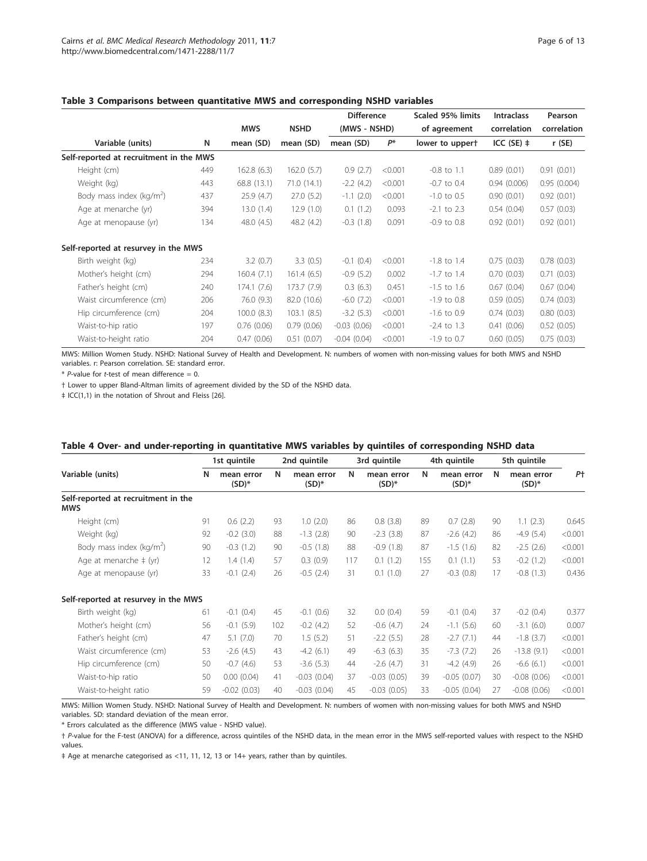|                                         |     |             |             | <b>Difference</b> |         | Scaled 95% limits | <b>Intraclass</b>    | Pearson     |
|-----------------------------------------|-----|-------------|-------------|-------------------|---------|-------------------|----------------------|-------------|
|                                         |     | <b>MWS</b>  | <b>NSHD</b> | (MWS - NSHD)      |         | of agreement      | correlation          | correlation |
| Variable (units)                        | N   | mean (SD)   | mean (SD)   | mean (SD)         | $P^*$   | lower to uppert   | $ICC(SE)$ $\ddagger$ | r(SE)       |
| Self-reported at recruitment in the MWS |     |             |             |                   |         |                   |                      |             |
| Height (cm)                             | 449 | 162.8(6.3)  | 162.0(5.7)  | 0.9(2.7)          | < 0.001 | $-0.8$ to 1.1     | 0.89(0.01)           | 0.91(0.01)  |
| Weight (kg)                             | 443 | 68.8 (13.1) | 71.0 (14.1) | $-2.2$ (4.2)      | < 0.001 | $-0.7$ to 0.4     | 0.94(0.006)          | 0.95(0.004) |
| Body mass index ( $kg/m2$ )             | 437 | 25.9(4.7)   | 27.0(5.2)   | $-1.1$ (2.0)      | < 0.001 | $-1.0$ to 0.5     | 0.90(0.01)           | 0.92(0.01)  |
| Age at menarche (yr)                    | 394 | 13.0(1.4)   | 12.9(1.0)   | 0.1(1.2)          | 0.093   | $-2.1$ to 2.3     | 0.54(0.04)           | 0.57(0.03)  |
| Age at menopause (yr)                   | 134 | 48.0 (4.5)  | 48.2 (4.2)  | $-0.3(1.8)$       | 0.091   | $-0.9$ to $0.8$   | 0.92(0.01)           | 0.92(0.01)  |
| Self-reported at resurvey in the MWS    |     |             |             |                   |         |                   |                      |             |
| Birth weight (kg)                       | 234 | 3.2(0.7)    | 3.3(0.5)    | $-0.1(0.4)$       | < 0.001 | $-1.8$ to $1.4$   | 0.75(0.03)           | 0.78(0.03)  |
| Mother's height (cm)                    | 294 | 160.4(7.1)  | 161.4(6.5)  | $-0.9(5.2)$       | 0.002   | $-1.7$ to $1.4$   | 0.70(0.03)           | 0.71(0.03)  |
| Father's height (cm)                    | 240 | 174.1(7.6)  | 173.7 (7.9) | 0.3(6.3)          | 0.451   | $-1.5$ to 1.6     | 0.67(0.04)           | 0.67(0.04)  |
| Waist circumference (cm)                | 206 | 76.0(9.3)   | 82.0 (10.6) | $-6.0(7.2)$       | < 0.001 | $-1.9$ to 0.8     | 0.59(0.05)           | 0.74(0.03)  |
| Hip circumference (cm)                  | 204 | 100.0(8.3)  | 103.1(8.5)  | $-3.2(5.3)$       | < 0.001 | $-1.6$ to 0.9     | 0.74(0.03)           | 0.80(0.03)  |
| Waist-to-hip ratio                      | 197 | 0.76(0.06)  | 0.79(0.06)  | $-0.03(0.06)$     | < 0.001 | $-2.4$ to 1.3     | 0.41(0.06)           | 0.52(0.05)  |
| Waist-to-height ratio                   | 204 | 0.47(0.06)  | 0.51(0.07)  | $-0.04(0.04)$     | < 0.001 | $-1.9$ to 0.7     | 0.60(0.05)           | 0.75(0.03)  |

### <span id="page-5-0"></span>Table 3 Comparisons between quantitative MWS and corresponding NSHD variables

MWS: Million Women Study. NSHD: National Survey of Health and Development. N: numbers of women with non-missing values for both MWS and NSHD variables. r: Pearson correlation. SE: standard error.

 $*$  P-value for t-test of mean difference = 0.

† Lower to upper Bland-Altman limits of agreement divided by the SD of the NSHD data.

‡ ICC(1,1) in the notation of Shrout and Fleiss [\[26](#page-12-0)].

|                                                   |    | 1st quintile           |     | 2nd quintile           |     | 3rd quintile           |     | 4th quintile           |    | 5th quintile           |                |
|---------------------------------------------------|----|------------------------|-----|------------------------|-----|------------------------|-----|------------------------|----|------------------------|----------------|
| Variable (units)                                  | N  | mean error<br>$(SD)^*$ | N   | mean error<br>$(SD)^*$ | N   | mean error<br>$(SD)^*$ | N   | mean error<br>$(SD)^*$ | N  | mean error<br>$(SD)^*$ | P <sup>+</sup> |
| Self-reported at recruitment in the<br><b>MWS</b> |    |                        |     |                        |     |                        |     |                        |    |                        |                |
| Height (cm)                                       | 91 | 0.6(2.2)               | 93  | 1.0(2.0)               | 86  | 0.8(3.8)               | 89  | 0.7(2.8)               | 90 | 1.1(2.3)               | 0.645          |
| Weight (kg)                                       | 92 | $-0.2$ (3.0)           | 88  | $-1.3(2.8)$            | 90  | $-2.3(3.8)$            | 87  | $-2.6(4.2)$            | 86 | $-4.9(5.4)$            | < 0.001        |
| Body mass index ( $kg/m2$ )                       | 90 | $-0.3(1.2)$            | 90  | $-0.5(1.8)$            | 88  | $-0.9(1.8)$            | 87  | $-1.5(1.6)$            | 82 | $-2.5(2.6)$            | < 0.001        |
| Age at menarche $\ddagger$ (yr)                   | 12 | 1.4(1.4)               | 57  | 0.3(0.9)               | 117 | 0.1(1.2)               | 155 | 0.1(1.1)               | 53 | $-0.2(1.2)$            | < 0.001        |
| Age at menopause (yr)                             | 33 | $-0.1$ $(2.4)$         | 26  | $-0.5(2.4)$            | 31  | 0.1(1.0)               | 27  | $-0.3$ $(0.8)$         | 17 | $-0.8(1.3)$            | 0.436          |
| Self-reported at resurvey in the MWS              |    |                        |     |                        |     |                        |     |                        |    |                        |                |
| Birth weight (kg)                                 | 61 | $-0.1(0.4)$            | 45  | $-0.1(0.6)$            | 32  | 0.0(0.4)               | 59  | $-0.1$ $(0.4)$         | 37 | $-0.2$ (0.4)           | 0.377          |
| Mother's height (cm)                              | 56 | $-0.1(5.9)$            | 102 | $-0.2(4.2)$            | 52  | $-0.6(4.7)$            | 24  | $-1.1(5.6)$            | 60 | $-3.1(6.0)$            | 0.007          |
| Father's height (cm)                              | 47 | 5.1(7.0)               | 70  | 1.5(5.2)               | 51  | $-2.2$ (5.5)           | 28  | $-2.7(7.1)$            | 44 | $-1.8$ (3.7)           | < 0.001        |
| Waist circumference (cm)                          | 53 | $-2.6(4.5)$            | 43  | $-4.2(6.1)$            | 49  | $-6.3(6.3)$            | 35  | $-7.3(7.2)$            | 26 | $-13.8(9.1)$           | < 0.001        |
| Hip circumference (cm)                            | 50 | $-0.7(4.6)$            | 53  | $-3.6(5.3)$            | 44  | $-2.6(4.7)$            | 31  | $-4.2$ (4.9)           | 26 | $-6.6(6.1)$            | < 0.001        |
| Waist-to-hip ratio                                | 50 | 0.00(0.04)             | 41  | $-0.03(0.04)$          | 37  | $-0.03(0.05)$          | 39  | $-0.05(0.07)$          | 30 | $-0.08$ $(0.06)$       | < 0.001        |
| Waist-to-height ratio                             | 59 | $-0.02$ $(0.03)$       | 40  | $-0.03$ $(0.04)$       | 45  | $-0.03$ $(0.05)$       | 33  | $-0.05(0.04)$          | 27 | $-0.08$ $(0.06)$       | < 0.001        |

# Table 4 Over- and under-reporting in quantitative MWS variables by quintiles of corresponding NSHD data

MWS: Million Women Study. NSHD: National Survey of Health and Development. N: numbers of women with non-missing values for both MWS and NSHD variables. SD: standard deviation of the mean error.

\* Errors calculated as the difference (MWS value - NSHD value).

† P-value for the F-test (ANOVA) for a difference, across quintiles of the NSHD data, in the mean error in the MWS self-reported values with respect to the NSHD values.

‡ Age at menarche categorised as <11, 11, 12, 13 or 14+ years, rather than by quintiles.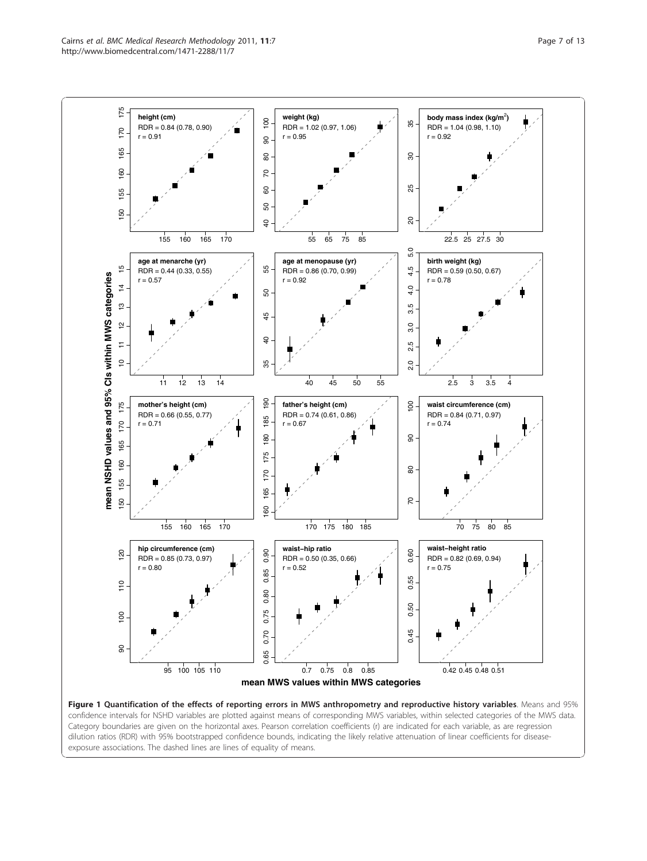<span id="page-6-0"></span>

dilution ratios (RDR) with 95% bootstrapped confidence bounds, indicating the likely relative attenuation of linear coefficients for diseaseexposure associations. The dashed lines are lines of equality of means.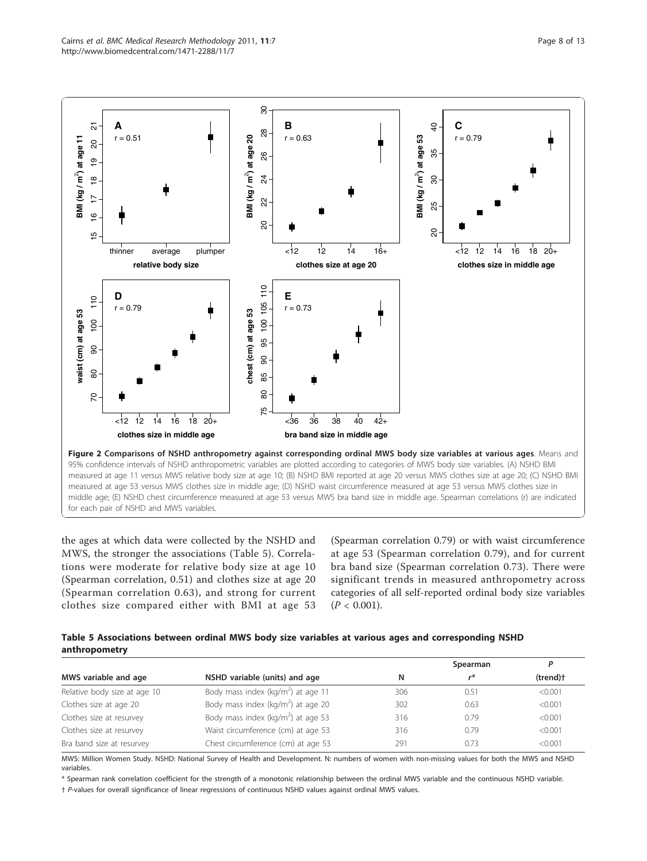<span id="page-7-0"></span>

the ages at which data were collected by the NSHD and MWS, the stronger the associations (Table 5). Correlations were moderate for relative body size at age 10 (Spearman correlation, 0.51) and clothes size at age 20 (Spearman correlation 0.63), and strong for current clothes size compared either with BMI at age 53 (Spearman correlation 0.79) or with waist circumference at age 53 (Spearman correlation 0.79), and for current bra band size (Spearman correlation 0.73). There were significant trends in measured anthropometry across categories of all self-reported ordinal body size variables  $(P < 0.001)$ .

Table 5 Associations between ordinal MWS body size variables at various ages and corresponding NSHD anthropometry

|                              |                                                |     | Spearman | P                    |
|------------------------------|------------------------------------------------|-----|----------|----------------------|
| MWS variable and age         | NSHD variable (units) and age                  | N   | $r^*$    | (trend) <sup>+</sup> |
| Relative body size at age 10 | Body mass index (kg/m <sup>2</sup> ) at age 11 | 306 | 0.51     | < 0.001              |
| Clothes size at age 20       | Body mass index ( $kg/m2$ ) at age 20          | 302 | 0.63     | < 0.001              |
| Clothes size at resurvey     | Body mass index (kg/m <sup>2</sup> ) at age 53 | 316 | 0.79     | < 0.001              |
| Clothes size at resurvey     | Waist circumference (cm) at age 53             | 316 | 0.79     | < 0.001              |
| Bra band size at resurvey    | Chest circumference (cm) at age 53             | 291 | 0.73     | < 0.001              |

MWS: Million Women Study. NSHD: National Survey of Health and Development. N: numbers of women with non-missing values for both the MWS and NSHD variables.

\* Spearman rank correlation coefficient for the strength of a monotonic relationship between the ordinal MWS variable and the continuous NSHD variable.

† P-values for overall significance of linear regressions of continuous NSHD values against ordinal MWS values.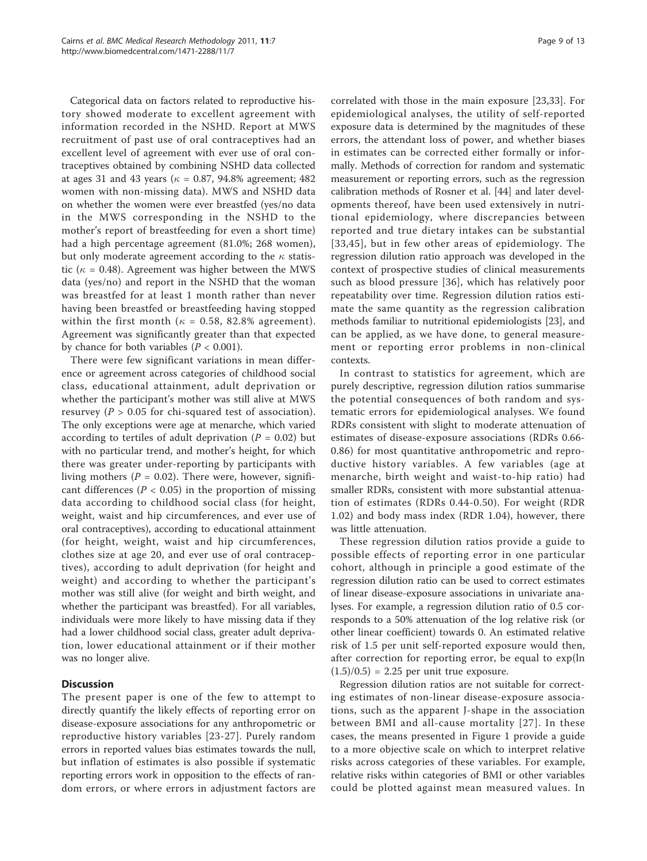Categorical data on factors related to reproductive history showed moderate to excellent agreement with information recorded in the NSHD. Report at MWS recruitment of past use of oral contraceptives had an excellent level of agreement with ever use of oral contraceptives obtained by combining NSHD data collected at ages 31 and 43 years ( $\kappa = 0.87$ , 94.8% agreement; 482 women with non-missing data). MWS and NSHD data on whether the women were ever breastfed (yes/no data in the MWS corresponding in the NSHD to the mother's report of breastfeeding for even a short time) had a high percentage agreement (81.0%; 268 women), but only moderate agreement according to the  $\kappa$  statistic ( $\kappa$  = 0.48). Agreement was higher between the MWS data (yes/no) and report in the NSHD that the woman was breastfed for at least 1 month rather than never having been breastfed or breastfeeding having stopped within the first month ( $\kappa = 0.58$ , 82.8% agreement). Agreement was significantly greater than that expected by chance for both variables ( $P < 0.001$ ).

There were few significant variations in mean difference or agreement across categories of childhood social class, educational attainment, adult deprivation or whether the participant's mother was still alive at MWS resurvey ( $P > 0.05$  for chi-squared test of association). The only exceptions were age at menarche, which varied according to tertiles of adult deprivation ( $P = 0.02$ ) but with no particular trend, and mother's height, for which there was greater under-reporting by participants with living mothers ( $P = 0.02$ ). There were, however, significant differences ( $P < 0.05$ ) in the proportion of missing data according to childhood social class (for height, weight, waist and hip circumferences, and ever use of oral contraceptives), according to educational attainment (for height, weight, waist and hip circumferences, clothes size at age 20, and ever use of oral contraceptives), according to adult deprivation (for height and weight) and according to whether the participant's mother was still alive (for weight and birth weight, and whether the participant was breastfed). For all variables, individuals were more likely to have missing data if they had a lower childhood social class, greater adult deprivation, lower educational attainment or if their mother was no longer alive.

# **Discussion**

The present paper is one of the few to attempt to directly quantify the likely effects of reporting error on disease-exposure associations for any anthropometric or reproductive history variables [[23-27](#page-12-0)]. Purely random errors in reported values bias estimates towards the null, but inflation of estimates is also possible if systematic reporting errors work in opposition to the effects of random errors, or where errors in adjustment factors are

correlated with those in the main exposure [\[23](#page-12-0),[33\]](#page-12-0). For epidemiological analyses, the utility of self-reported exposure data is determined by the magnitudes of these errors, the attendant loss of power, and whether biases in estimates can be corrected either formally or informally. Methods of correction for random and systematic measurement or reporting errors, such as the regression calibration methods of Rosner et al. [\[44](#page-12-0)] and later developments thereof, have been used extensively in nutritional epidemiology, where discrepancies between reported and true dietary intakes can be substantial [[33,45\]](#page-12-0), but in few other areas of epidemiology. The regression dilution ratio approach was developed in the context of prospective studies of clinical measurements such as blood pressure [[36\]](#page-12-0), which has relatively poor repeatability over time. Regression dilution ratios estimate the same quantity as the regression calibration methods familiar to nutritional epidemiologists [\[23\]](#page-12-0), and can be applied, as we have done, to general measurement or reporting error problems in non-clinical contexts.

In contrast to statistics for agreement, which are purely descriptive, regression dilution ratios summarise the potential consequences of both random and systematic errors for epidemiological analyses. We found RDRs consistent with slight to moderate attenuation of estimates of disease-exposure associations (RDRs 0.66- 0.86) for most quantitative anthropometric and reproductive history variables. A few variables (age at menarche, birth weight and waist-to-hip ratio) had smaller RDRs, consistent with more substantial attenuation of estimates (RDRs 0.44-0.50). For weight (RDR 1.02) and body mass index (RDR 1.04), however, there was little attenuation.

These regression dilution ratios provide a guide to possible effects of reporting error in one particular cohort, although in principle a good estimate of the regression dilution ratio can be used to correct estimates of linear disease-exposure associations in univariate analyses. For example, a regression dilution ratio of 0.5 corresponds to a 50% attenuation of the log relative risk (or other linear coefficient) towards 0. An estimated relative risk of 1.5 per unit self-reported exposure would then, after correction for reporting error, be equal to exp(ln  $(1.5)/0.5$  = 2.25 per unit true exposure.

Regression dilution ratios are not suitable for correcting estimates of non-linear disease-exposure associations, such as the apparent J-shape in the association between BMI and all-cause mortality [[27](#page-12-0)]. In these cases, the means presented in Figure [1](#page-6-0) provide a guide to a more objective scale on which to interpret relative risks across categories of these variables. For example, relative risks within categories of BMI or other variables could be plotted against mean measured values. In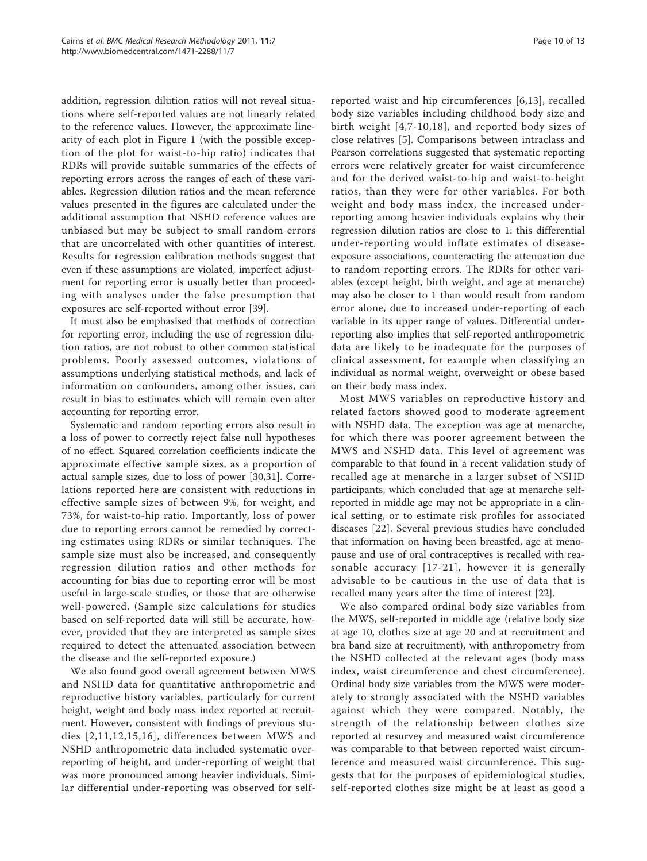addition, regression dilution ratios will not reveal situations where self-reported values are not linearly related to the reference values. However, the approximate linearity of each plot in Figure [1](#page-6-0) (with the possible exception of the plot for waist-to-hip ratio) indicates that RDRs will provide suitable summaries of the effects of reporting errors across the ranges of each of these variables. Regression dilution ratios and the mean reference values presented in the figures are calculated under the additional assumption that NSHD reference values are unbiased but may be subject to small random errors that are uncorrelated with other quantities of interest. Results for regression calibration methods suggest that even if these assumptions are violated, imperfect adjustment for reporting error is usually better than proceeding with analyses under the false presumption that exposures are self-reported without error [\[39](#page-12-0)].

It must also be emphasised that methods of correction for reporting error, including the use of regression dilution ratios, are not robust to other common statistical problems. Poorly assessed outcomes, violations of assumptions underlying statistical methods, and lack of information on confounders, among other issues, can result in bias to estimates which will remain even after accounting for reporting error.

Systematic and random reporting errors also result in a loss of power to correctly reject false null hypotheses of no effect. Squared correlation coefficients indicate the approximate effective sample sizes, as a proportion of actual sample sizes, due to loss of power [[30,31\]](#page-12-0). Correlations reported here are consistent with reductions in effective sample sizes of between 9%, for weight, and 73%, for waist-to-hip ratio. Importantly, loss of power due to reporting errors cannot be remedied by correcting estimates using RDRs or similar techniques. The sample size must also be increased, and consequently regression dilution ratios and other methods for accounting for bias due to reporting error will be most useful in large-scale studies, or those that are otherwise well-powered. (Sample size calculations for studies based on self-reported data will still be accurate, however, provided that they are interpreted as sample sizes required to detect the attenuated association between the disease and the self-reported exposure.)

We also found good overall agreement between MWS and NSHD data for quantitative anthropometric and reproductive history variables, particularly for current height, weight and body mass index reported at recruitment. However, consistent with findings of previous studies [[2,11,12](#page-11-0),[15,16\]](#page-12-0), differences between MWS and NSHD anthropometric data included systematic overreporting of height, and under-reporting of weight that was more pronounced among heavier individuals. Similar differential under-reporting was observed for selfreported waist and hip circumferences [\[6,](#page-11-0)[13](#page-12-0)], recalled body size variables including childhood body size and birth weight [[4,7-10](#page-11-0),[18](#page-12-0)], and reported body sizes of close relatives [[5](#page-11-0)]. Comparisons between intraclass and Pearson correlations suggested that systematic reporting errors were relatively greater for waist circumference and for the derived waist-to-hip and waist-to-height ratios, than they were for other variables. For both weight and body mass index, the increased underreporting among heavier individuals explains why their regression dilution ratios are close to 1: this differential under-reporting would inflate estimates of diseaseexposure associations, counteracting the attenuation due to random reporting errors. The RDRs for other variables (except height, birth weight, and age at menarche) may also be closer to 1 than would result from random error alone, due to increased under-reporting of each variable in its upper range of values. Differential underreporting also implies that self-reported anthropometric data are likely to be inadequate for the purposes of clinical assessment, for example when classifying an individual as normal weight, overweight or obese based on their body mass index.

Most MWS variables on reproductive history and related factors showed good to moderate agreement with NSHD data. The exception was age at menarche, for which there was poorer agreement between the MWS and NSHD data. This level of agreement was comparable to that found in a recent validation study of recalled age at menarche in a larger subset of NSHD participants, which concluded that age at menarche selfreported in middle age may not be appropriate in a clinical setting, or to estimate risk profiles for associated diseases [[22\]](#page-12-0). Several previous studies have concluded that information on having been breastfed, age at menopause and use of oral contraceptives is recalled with reasonable accuracy [[17](#page-12-0)-[21](#page-12-0)], however it is generally advisable to be cautious in the use of data that is recalled many years after the time of interest [[22\]](#page-12-0).

We also compared ordinal body size variables from the MWS, self-reported in middle age (relative body size at age 10, clothes size at age 20 and at recruitment and bra band size at recruitment), with anthropometry from the NSHD collected at the relevant ages (body mass index, waist circumference and chest circumference). Ordinal body size variables from the MWS were moderately to strongly associated with the NSHD variables against which they were compared. Notably, the strength of the relationship between clothes size reported at resurvey and measured waist circumference was comparable to that between reported waist circumference and measured waist circumference. This suggests that for the purposes of epidemiological studies, self-reported clothes size might be at least as good a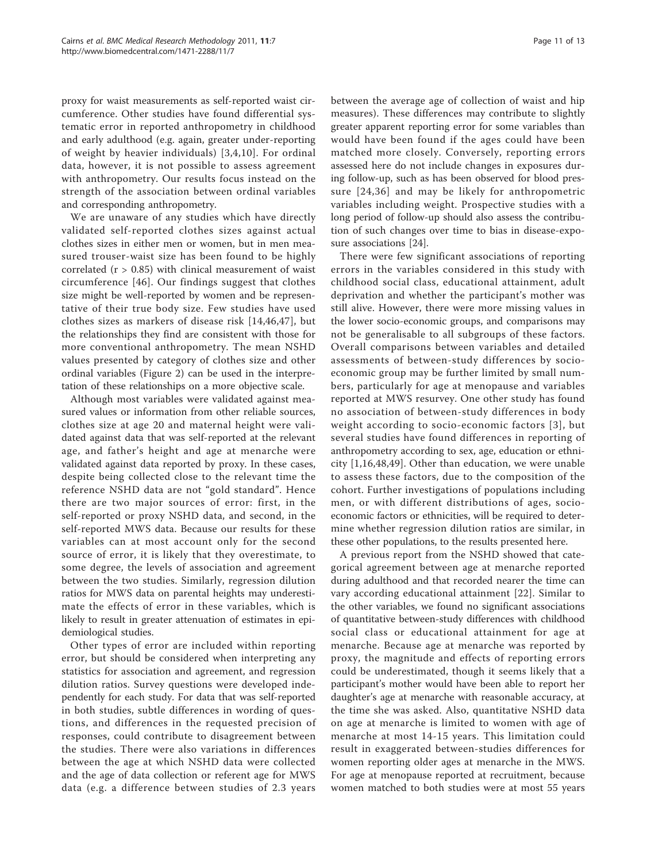proxy for waist measurements as self-reported waist circumference. Other studies have found differential systematic error in reported anthropometry in childhood and early adulthood (e.g. again, greater under-reporting of weight by heavier individuals) [[3,4,10](#page-11-0)]. For ordinal data, however, it is not possible to assess agreement with anthropometry. Our results focus instead on the strength of the association between ordinal variables and corresponding anthropometry.

We are unaware of any studies which have directly validated self-reported clothes sizes against actual clothes sizes in either men or women, but in men measured trouser-waist size has been found to be highly correlated ( $r > 0.85$ ) with clinical measurement of waist circumference [[46\]](#page-12-0). Our findings suggest that clothes size might be well-reported by women and be representative of their true body size. Few studies have used clothes sizes as markers of disease risk [[14](#page-12-0),[46,47](#page-12-0)], but the relationships they find are consistent with those for more conventional anthropometry. The mean NSHD values presented by category of clothes size and other ordinal variables (Figure [2](#page-7-0)) can be used in the interpretation of these relationships on a more objective scale.

Although most variables were validated against measured values or information from other reliable sources, clothes size at age 20 and maternal height were validated against data that was self-reported at the relevant age, and father's height and age at menarche were validated against data reported by proxy. In these cases, despite being collected close to the relevant time the reference NSHD data are not "gold standard". Hence there are two major sources of error: first, in the self-reported or proxy NSHD data, and second, in the self-reported MWS data. Because our results for these variables can at most account only for the second source of error, it is likely that they overestimate, to some degree, the levels of association and agreement between the two studies. Similarly, regression dilution ratios for MWS data on parental heights may underestimate the effects of error in these variables, which is likely to result in greater attenuation of estimates in epidemiological studies.

Other types of error are included within reporting error, but should be considered when interpreting any statistics for association and agreement, and regression dilution ratios. Survey questions were developed independently for each study. For data that was self-reported in both studies, subtle differences in wording of questions, and differences in the requested precision of responses, could contribute to disagreement between the studies. There were also variations in differences between the age at which NSHD data were collected and the age of data collection or referent age for MWS data (e.g. a difference between studies of 2.3 years between the average age of collection of waist and hip measures). These differences may contribute to slightly greater apparent reporting error for some variables than would have been found if the ages could have been matched more closely. Conversely, reporting errors assessed here do not include changes in exposures during follow-up, such as has been observed for blood pressure [[24,36\]](#page-12-0) and may be likely for anthropometric variables including weight. Prospective studies with a long period of follow-up should also assess the contribution of such changes over time to bias in disease-expo-sure associations [[24](#page-12-0)].

There were few significant associations of reporting errors in the variables considered in this study with childhood social class, educational attainment, adult deprivation and whether the participant's mother was still alive. However, there were more missing values in the lower socio-economic groups, and comparisons may not be generalisable to all subgroups of these factors. Overall comparisons between variables and detailed assessments of between-study differences by socioeconomic group may be further limited by small numbers, particularly for age at menopause and variables reported at MWS resurvey. One other study has found no association of between-study differences in body weight according to socio-economic factors [[3](#page-11-0)], but several studies have found differences in reporting of anthropometry according to sex, age, education or ethnicity [[1](#page-11-0)[,16,48,49](#page-12-0)]. Other than education, we were unable to assess these factors, due to the composition of the cohort. Further investigations of populations including men, or with different distributions of ages, socioeconomic factors or ethnicities, will be required to determine whether regression dilution ratios are similar, in these other populations, to the results presented here.

A previous report from the NSHD showed that categorical agreement between age at menarche reported during adulthood and that recorded nearer the time can vary according educational attainment [[22\]](#page-12-0). Similar to the other variables, we found no significant associations of quantitative between-study differences with childhood social class or educational attainment for age at menarche. Because age at menarche was reported by proxy, the magnitude and effects of reporting errors could be underestimated, though it seems likely that a participant's mother would have been able to report her daughter's age at menarche with reasonable accuracy, at the time she was asked. Also, quantitative NSHD data on age at menarche is limited to women with age of menarche at most 14-15 years. This limitation could result in exaggerated between-studies differences for women reporting older ages at menarche in the MWS. For age at menopause reported at recruitment, because women matched to both studies were at most 55 years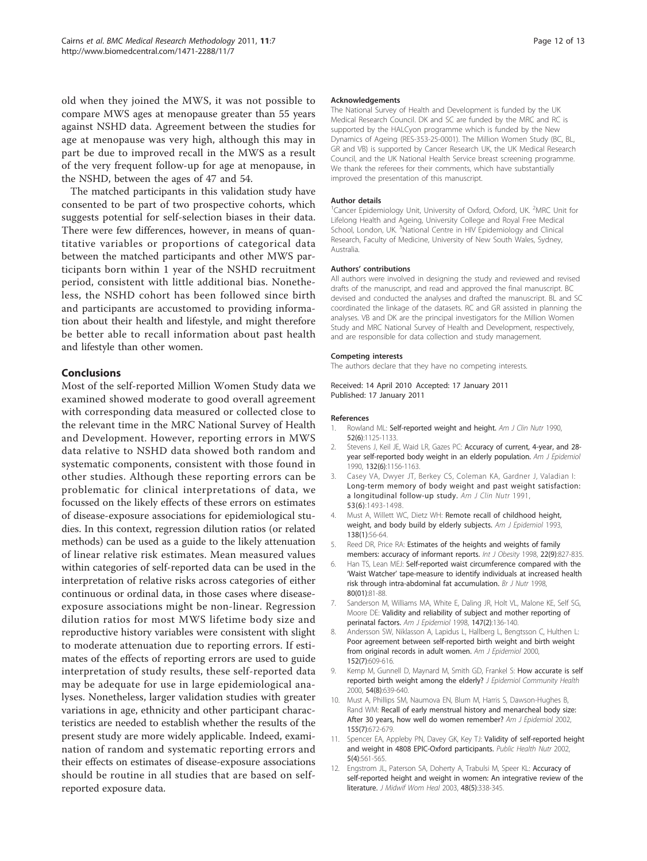<span id="page-11-0"></span>old when they joined the MWS, it was not possible to compare MWS ages at menopause greater than 55 years against NSHD data. Agreement between the studies for age at menopause was very high, although this may in part be due to improved recall in the MWS as a result of the very frequent follow-up for age at menopause, in the NSHD, between the ages of 47 and 54.

The matched participants in this validation study have consented to be part of two prospective cohorts, which suggests potential for self-selection biases in their data. There were few differences, however, in means of quantitative variables or proportions of categorical data between the matched participants and other MWS participants born within 1 year of the NSHD recruitment period, consistent with little additional bias. Nonetheless, the NSHD cohort has been followed since birth and participants are accustomed to providing information about their health and lifestyle, and might therefore be better able to recall information about past health and lifestyle than other women.

# Conclusions

Most of the self-reported Million Women Study data we examined showed moderate to good overall agreement with corresponding data measured or collected close to the relevant time in the MRC National Survey of Health and Development. However, reporting errors in MWS data relative to NSHD data showed both random and systematic components, consistent with those found in other studies. Although these reporting errors can be problematic for clinical interpretations of data, we focussed on the likely effects of these errors on estimates of disease-exposure associations for epidemiological studies. In this context, regression dilution ratios (or related methods) can be used as a guide to the likely attenuation of linear relative risk estimates. Mean measured values within categories of self-reported data can be used in the interpretation of relative risks across categories of either continuous or ordinal data, in those cases where diseaseexposure associations might be non-linear. Regression dilution ratios for most MWS lifetime body size and reproductive history variables were consistent with slight to moderate attenuation due to reporting errors. If estimates of the effects of reporting errors are used to guide interpretation of study results, these self-reported data may be adequate for use in large epidemiological analyses. Nonetheless, larger validation studies with greater variations in age, ethnicity and other participant characteristics are needed to establish whether the results of the present study are more widely applicable. Indeed, examination of random and systematic reporting errors and their effects on estimates of disease-exposure associations should be routine in all studies that are based on selfreported exposure data.

#### Acknowledgements

The National Survey of Health and Development is funded by the UK Medical Research Council. DK and SC are funded by the MRC and RC is supported by the HALCyon programme which is funded by the New Dynamics of Ageing (RES-353-25-0001). The Million Women Study (BC, BL, GR and VB) is supported by Cancer Research UK, the UK Medical Research Council, and the UK National Health Service breast screening programme. We thank the referees for their comments, which have substantially improved the presentation of this manuscript.

#### Author details

<sup>1</sup> Cancer Epidemiology Unit, University of Oxford, Oxford, UK. <sup>2</sup>MRC Unit for Lifelong Health and Ageing, University College and Royal Free Medical School, London, UK. <sup>3</sup>National Centre in HIV Epidemiology and Clinical Research, Faculty of Medicine, University of New South Wales, Sydney, Australia.

#### Authors' contributions

All authors were involved in designing the study and reviewed and revised drafts of the manuscript, and read and approved the final manuscript. BC devised and conducted the analyses and drafted the manuscript. BL and SC coordinated the linkage of the datasets. RC and GR assisted in planning the analyses. VB and DK are the principal investigators for the Million Women Study and MRC National Survey of Health and Development, respectively, and are responsible for data collection and study management.

#### Competing interests

The authors declare that they have no competing interests.

Received: 14 April 2010 Accepted: 17 January 2011 Published: 17 January 2011

#### References

- 1. Rowland ML: [Self-reported weight and height.](http://www.ncbi.nlm.nih.gov/pubmed/2239790?dopt=Abstract) Am J Clin Nutr 1990, 52(6):1125-1133.
- 2. Stevens J, Keil JE, Waid LR, Gazes PC: [Accuracy of current, 4-year, and 28](http://www.ncbi.nlm.nih.gov/pubmed/2260547?dopt=Abstract) [year self-reported body weight in an elderly population.](http://www.ncbi.nlm.nih.gov/pubmed/2260547?dopt=Abstract) Am J Epidemiol 1990, 132(6):1156-1163.
- 3. Casey VA, Dwyer JT, Berkey CS, Coleman KA, Gardner J, Valadian I: [Long-term memory of body weight and past weight satisfaction:](http://www.ncbi.nlm.nih.gov/pubmed/2035478?dopt=Abstract) [a longitudinal follow-up study.](http://www.ncbi.nlm.nih.gov/pubmed/2035478?dopt=Abstract) Am J Clin Nutr 1991, 53(6):1493-1498.
- 4. Must A, Willett WC, Dietz WH: [Remote recall of childhood height,](http://www.ncbi.nlm.nih.gov/pubmed/8333427?dopt=Abstract) [weight, and body build by elderly subjects.](http://www.ncbi.nlm.nih.gov/pubmed/8333427?dopt=Abstract) Am J Epidemiol 1993, 138(1):56-64.
- 5. Reed DR, Price RA: Estimates of the heights and weights of family members: accuracy of informant reports. Int J Obesity 1998, 22(9):827-835.
- 6. Han TS, Lean MEJ: [Self-reported waist circumference compared with the](http://www.ncbi.nlm.nih.gov/pubmed/9797647?dopt=Abstract) 'Waist Watcher' [tape-measure to identify individuals at increased health](http://www.ncbi.nlm.nih.gov/pubmed/9797647?dopt=Abstract) [risk through intra-abdominal fat accumulation.](http://www.ncbi.nlm.nih.gov/pubmed/9797647?dopt=Abstract) Br J Nutr 1998, 80(01):81-88.
- 7. Sanderson M, Williams MA, White E, Daling JR, Holt VL, Malone KE, Self SG, Moore DE: [Validity and reliability of subject and mother reporting of](http://www.ncbi.nlm.nih.gov/pubmed/9457002?dopt=Abstract) [perinatal factors.](http://www.ncbi.nlm.nih.gov/pubmed/9457002?dopt=Abstract) Am J Epidemiol 1998, 147(2):136-140.
- 8. Andersson SW, Niklasson A, Lapidus L, Hallberg L, Bengtsson C, Hulthen L: [Poor agreement between self-reported birth weight and birth weight](http://www.ncbi.nlm.nih.gov/pubmed/11032155?dopt=Abstract) [from original records in adult women.](http://www.ncbi.nlm.nih.gov/pubmed/11032155?dopt=Abstract) Am J Epidemiol 2000, 152(7):609-616.
- 9. Kemp M, Gunnell D, Maynard M, Smith GD, Frankel S: [How accurate is self](http://www.ncbi.nlm.nih.gov/pubmed/10890878?dopt=Abstract) [reported birth weight among the elderly?](http://www.ncbi.nlm.nih.gov/pubmed/10890878?dopt=Abstract) J Epidemiol Community Health 2000, 54(8):639-640.
- 10. Must A, Phillips SM, Naumova EN, Blum M, Harris S, Dawson-Hughes B, Rand WM: [Recall of early menstrual history and menarcheal body size:](http://www.ncbi.nlm.nih.gov/pubmed/11914195?dopt=Abstract) [After 30 years, how well do women remember?](http://www.ncbi.nlm.nih.gov/pubmed/11914195?dopt=Abstract) Am J Epidemiol 2002, 155(7):672-679.
- 11. Spencer EA, Appleby PN, Davey GK, Key TJ: [Validity of self-reported height](http://www.ncbi.nlm.nih.gov/pubmed/12186665?dopt=Abstract) [and weight in 4808 EPIC-Oxford participants.](http://www.ncbi.nlm.nih.gov/pubmed/12186665?dopt=Abstract) Public Health Nutr 2002, 5(4):561-565.
- 12. Engstrom JL, Paterson SA, Doherty A, Trabulsi M, Speer KL: Accuracy of self-reported height and weight in women: An integrative review of the literature. J Midwif Wom Heal 2003, 48(5):338-345.